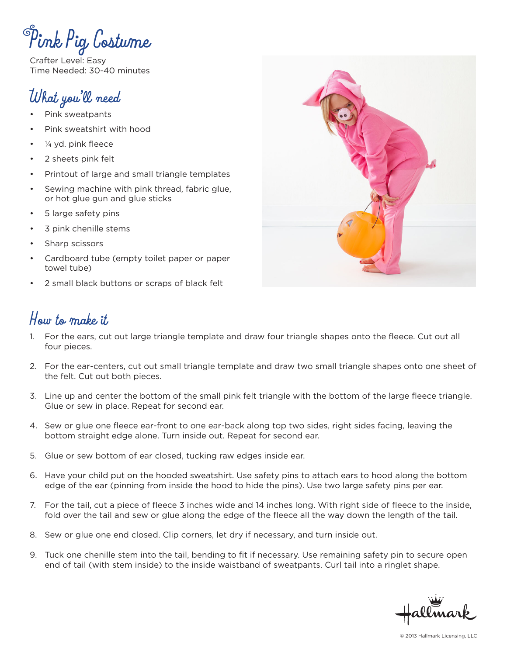**Pink Pig Costume**

Crafter Level: Easy Time Needed: 30-40 minutes

## **What you'll need**

- Pink sweatpants
- Pink sweatshirt with hood
- $\frac{1}{4}$  yd. pink fleece
- 2 sheets pink felt
- Printout of large and small triangle templates
- Sewing machine with pink thread, fabric glue, or hot glue gun and glue sticks
- 5 large safety pins
- 3 pink chenille stems
- Sharp scissors
- Cardboard tube (empty toilet paper or paper towel tube)
- 2 small black buttons or scraps of black felt

## **How to make it**

- 1. For the ears, cut out large triangle template and draw four triangle shapes onto the fleece. Cut out all four pieces.
- 2. For the ear-centers, cut out small triangle template and draw two small triangle shapes onto one sheet of the felt. Cut out both pieces.
- 3. Line up and center the bottom of the small pink felt triangle with the bottom of the large fleece triangle. Glue or sew in place. Repeat for second ear.
- 4. Sew or glue one fleece ear-front to one ear-back along top two sides, right sides facing, leaving the bottom straight edge alone. Turn inside out. Repeat for second ear.
- 5. Glue or sew bottom of ear closed, tucking raw edges inside ear.
- 6. Have your child put on the hooded sweatshirt. Use safety pins to attach ears to hood along the bottom edge of the ear (pinning from inside the hood to hide the pins). Use two large safety pins per ear.
- 7. For the tail, cut a piece of fleece 3 inches wide and 14 inches long. With right side of fleece to the inside, fold over the tail and sew or glue along the edge of the fleece all the way down the length of the tail.
- 8. Sew or glue one end closed. Clip corners, let dry if necessary, and turn inside out.
- 9. Tuck one chenille stem into the tail, bending to fit if necessary. Use remaining safety pin to secure open end of tail (with stem inside) to the inside waistband of sweatpants. Curl tail into a ringlet shape.